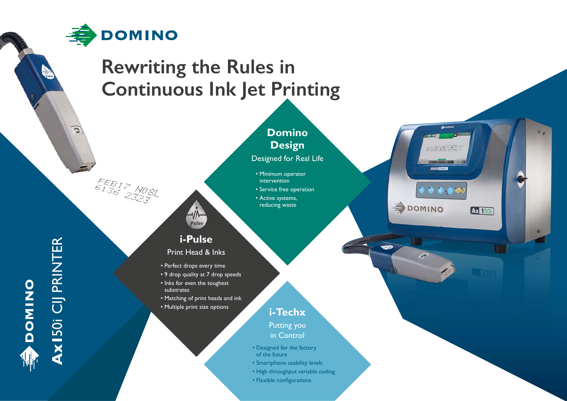

## **Rewriting the Rules in Continuous Ink Jet Printing**



- Smartphone usability levels
- High throughput variable coding
- Flexible configurations

# AXI50i CIJ PRINTER **Ax1**50i CIJ PRINTER DOMINO

 $\overline{c}$